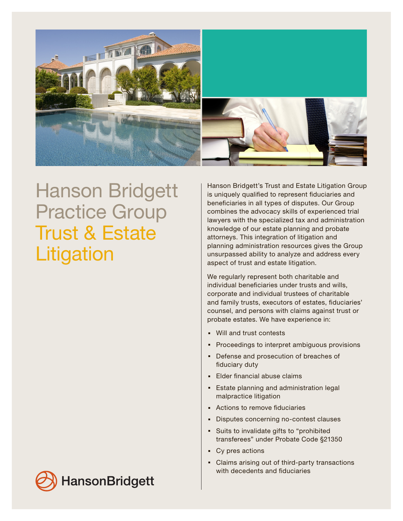

## Hanson Bridgett Practice Group Trust & Estate **Litigation**

Hanson Bridgett's Trust and Estate Litigation Group is uniquely qualified to represent fiduciaries and beneficiaries in all types of disputes. Our Group combines the advocacy skills of experienced trial lawyers with the specialized tax and administration knowledge of our estate planning and probate attorneys. This integration of litigation and planning administration resources gives the Group unsurpassed ability to analyze and address every aspect of trust and estate litigation.

We regularly represent both charitable and individual beneficiaries under trusts and wills, corporate and individual trustees of charitable and family trusts, executors of estates, fiduciaries' counsel, and persons with claims against trust or probate estates. We have experience in:

- . Will and trust contests
- **Proceedings to interpret ambiguous provisions**
- . Defense and prosecution of breaches of fiduciary duty
- **Elder financial abuse claims**
- . Estate planning and administration legal malpractice litigation
- . Actions to remove fiduciaries
- . Disputes concerning no-contest clauses
- . Suits to invalidate gifts to "prohibited transferees" under Probate Code §21350
- . Cy pres actions
- . Claims arising out of third-party transactions with decedents and fiduciaries